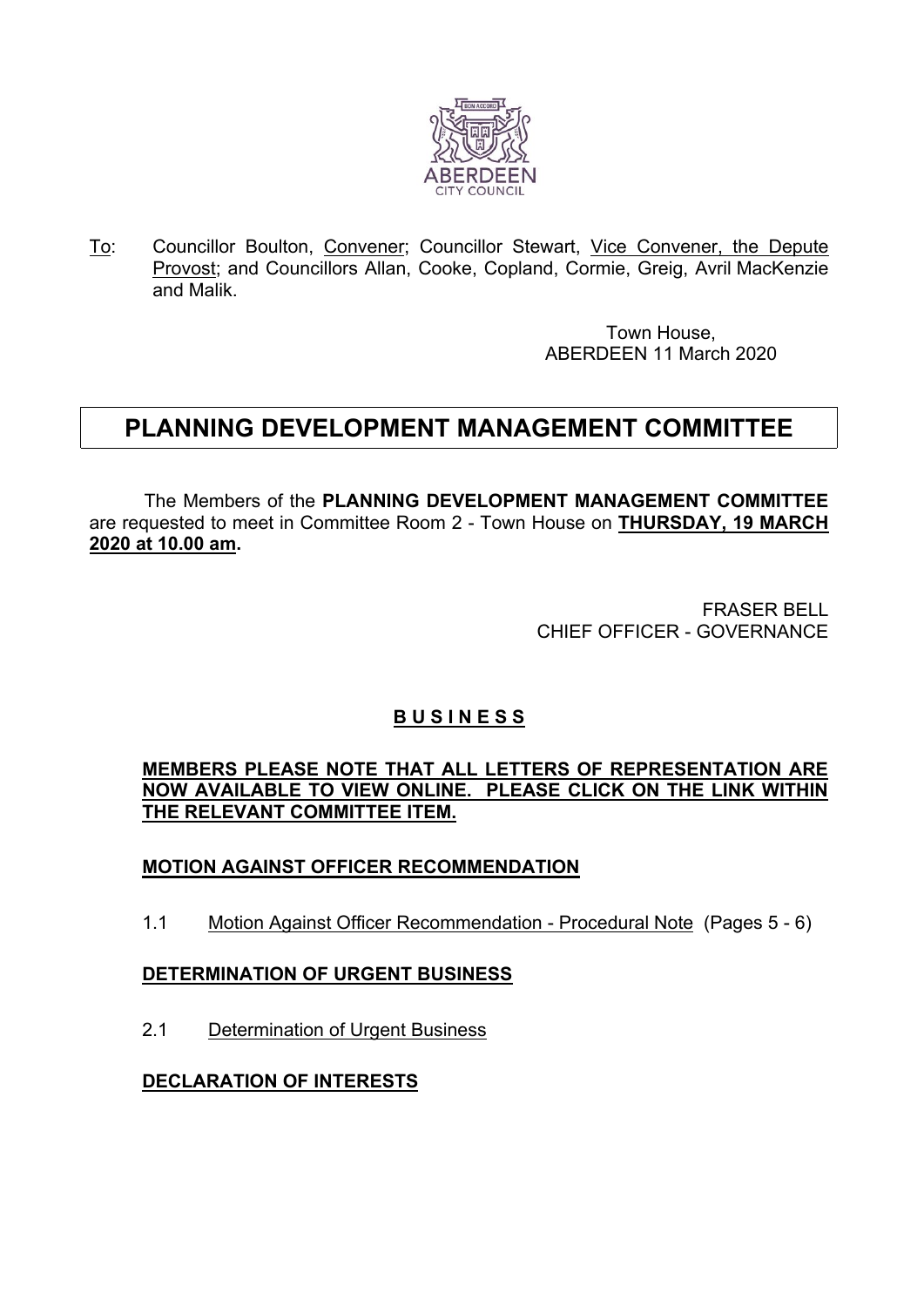

To: Councillor Boulton, Convener; Councillor Stewart, Vice Convener, the Depute Provost; and Councillors Allan, Cooke, Copland, Cormie, Greig, Avril MacKenzie and Malik.

> Town House, ABERDEEN 11 March 2020

# **PLANNING DEVELOPMENT MANAGEMENT COMMITTEE**

The Members of the **PLANNING DEVELOPMENT MANAGEMENT COMMITTEE** are requested to meet in Committee Room 2 - Town House on **THURSDAY, 19 MARCH 2020 at 10.00 am.**

> FRASER BELL CHIEF OFFICER - GOVERNANCE

# **B U S I N E S S**

**MEMBERS PLEASE NOTE THAT ALL LETTERS OF REPRESENTATION ARE NOW AVAILABLE TO VIEW ONLINE. PLEASE CLICK ON THE LINK WITHIN THE RELEVANT COMMITTEE ITEM.**

## **MOTION AGAINST OFFICER RECOMMENDATION**

1.1 Motion Against Officer Recommendation - Procedural Note (Pages 5 - 6)

#### **DETERMINATION OF URGENT BUSINESS**

2.1 Determination of Urgent Business

#### **DECLARATION OF INTERESTS**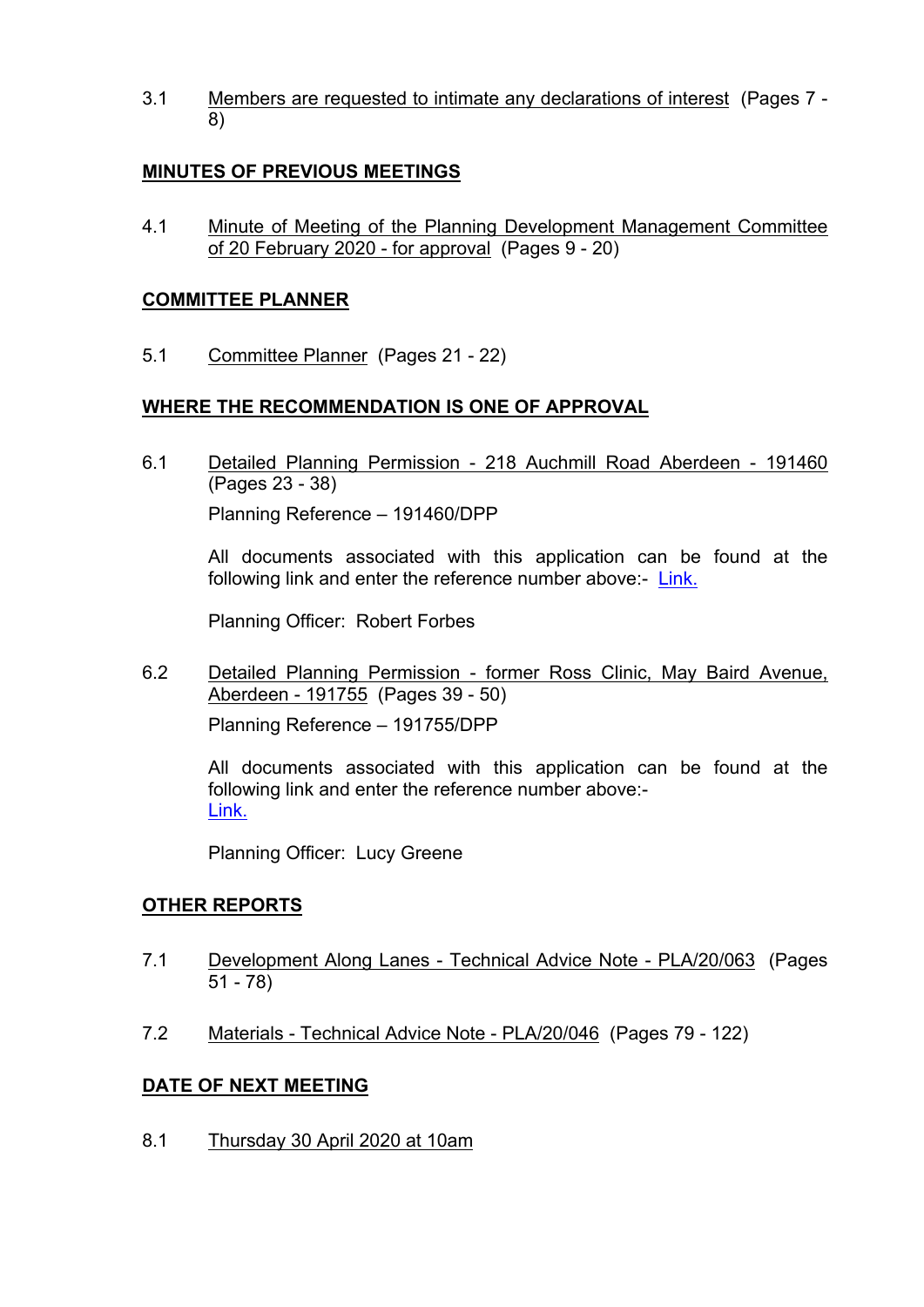3.1 Members are requested to intimate any declarations of interest (Pages 7 - 8)

#### **MINUTES OF PREVIOUS MEETINGS**

4.1 Minute of Meeting of the Planning Development Management Committee of 20 February 2020 - for approval (Pages 9 - 20)

#### **COMMITTEE PLANNER**

5.1 Committee Planner (Pages 21 - 22)

### **WHERE THE RECOMMENDATION IS ONE OF APPROVAL**

6.1 Detailed Planning Permission - 218 Auchmill Road Aberdeen - 191460 (Pages 23 - 38) Planning Reference – 191460/DPP

All documents associated with this application can be found at the following link and enter the reference number above:- [Link.](https://publicaccess.aberdeencity.gov.uk/online-applications/)

Planning Officer: Robert Forbes

6.2 Detailed Planning Permission - former Ross Clinic, May Baird Avenue, Aberdeen - 191755 (Pages 39 - 50) Planning Reference – 191755/DPP

All documents associated with this application can be found at the following link and enter the reference number above:- [Link.](https://publicaccess.aberdeencity.gov.uk/online-applications/) 

Planning Officer: Lucy Greene

#### **OTHER REPORTS**

- 7.1 Development Along Lanes Technical Advice Note PLA/20/063 (Pages 51 - 78)
- 7.2 Materials Technical Advice Note PLA/20/046 (Pages 79 122)

#### **DATE OF NEXT MEETING**

8.1 Thursday 30 April 2020 at 10am